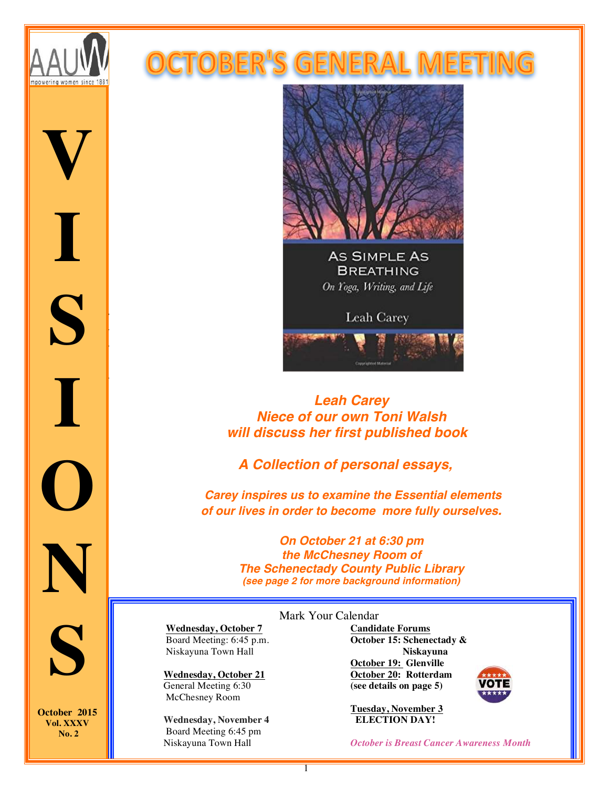

 *Wednesd ay,* 

**V**

*14, 2015* 

*6:30 p.m.*

**I**

*McChesn ey Room, Schenect*

*ady*   $S \mid$ 

*Public Library*

*99 Clinton Street,* 

**I**

*Schenect ady*

**O**

**N**

### **DCTOBER'S GENERAL MEET**



## *Leah Carey Niece of our own Toni Walsh will discuss her first published book*

 *A Collection of personal essays,*

*Carey inspires us to examine the Essential elements of our lives in order to become more fully ourselves.*

> *On October 21 at 6:30 pm the McChesney Room of The Schenectady County Public Library (see page 2 for more background information)*

 **Wednesday, October 7** Board Meeting: 6:45 p.m. Niskayuna Town Hall

 **Wednesday, October 21** General Meeting 6:30 McChesney Room

 **Wednesday, November 4** Board Meeting 6:45 pm Niskayuna Town Hall

#### Mark Your Calendar

**Candidate Forums October 15: Schenectady & Niskayuna October 19: Glenville October 20: Rotterdam (see details on page 5)**

**Tuesday, November 3 ELECTION DAY!**



*October is Breast Cancer Awareness Month*

**S October 2015 Vol. XXXV** 

**No. 2**

Ĩ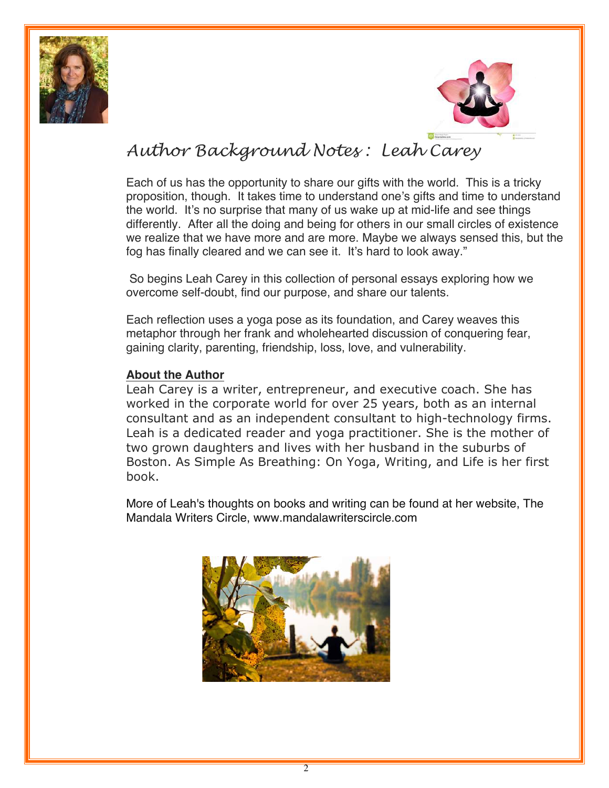



# *Author Background Notes : Leah Carey*

Each of us has the opportunity to share our gifts with the world. This is a tricky proposition, though. It takes time to understand one's gifts and time to understand the world. It's no surprise that many of us wake up at mid-life and see things differently. After all the doing and being for others in our small circles of existence we realize that we have more and are more. Maybe we always sensed this, but the fog has finally cleared and we can see it. It's hard to look away."

So begins Leah Carey in this collection of personal essays exploring how we overcome self-doubt, find our purpose, and share our talents.

Each reflection uses a yoga pose as its foundation, and Carey weaves this metaphor through her frank and wholehearted discussion of conquering fear, gaining clarity, parenting, friendship, loss, love, and vulnerability.

#### **About the Author**

Leah Carey is a writer, entrepreneur, and executive coach. She has worked in the corporate world for over 25 years, both as an internal consultant and as an independent consultant to high-technology firms. Leah is a dedicated reader and yoga practitioner. She is the mother of two grown daughters and lives with her husband in the suburbs of Boston. As Simple As Breathing: On Yoga, Writing, and Life is her first book.

More of Leah's thoughts on books and writing can be found at her website, The Mandala Writers Circle, www.mandalawriterscircle.com

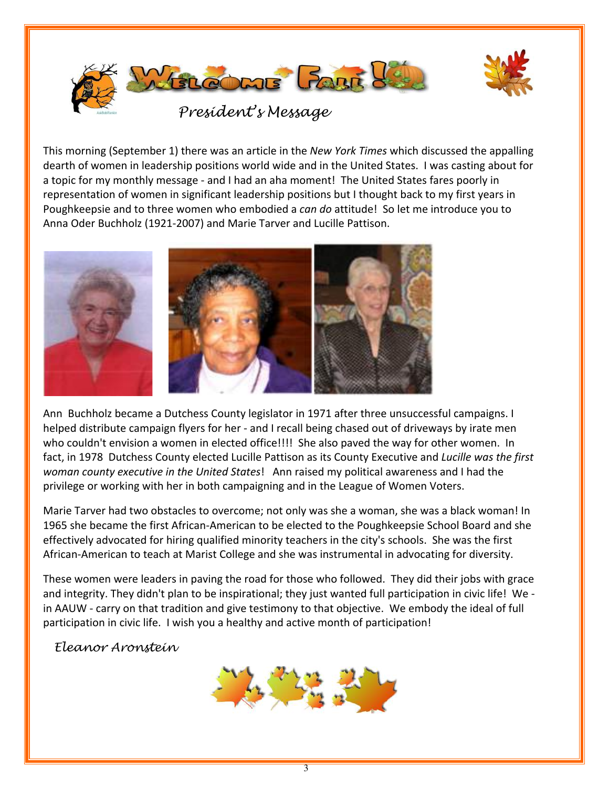

This morning (September 1) there was an article in the New York Times which discussed the appalling dearth of women in leadership positions world wide and in the United States. I was casting about for a topic for my monthly message - and I had an aha moment! The United States fares poorly in representation of women in significant leadership positions but I thought back to my first years in Poughkeepsie and to three women who embodied a can do attitude! So let me introduce you to Anna Oder Buchholz (1921-2007) and Marie Tarver and Lucille Pattison.



Ann Buchholz became a Dutchess County legislator in 1971 after three unsuccessful campaigns. I helped distribute campaign flyers for her - and I recall being chased out of driveways by irate men who couldn't envision a women in elected office!!!! She also paved the way for other women. In fact, in 1978 Dutchess County elected Lucille Pattison as its County Executive and Lucille was the first woman county executive in the United States! Ann raised my political awareness and I had the privilege or working with her in both campaigning and in the League of Women Voters.

Marie Tarver had two obstacles to overcome; not only was she a woman, she was a black woman! In 1965 she became the first African-American to be elected to the Poughkeepsie School Board and she effectively advocated for hiring qualified minority teachers in the city's schools. She was the first African-American to teach at Marist College and she was instrumental in advocating for diversity.

These women were leaders in paving the road for those who followed. They did their jobs with grace and integrity. They didn't plan to be inspirational; they just wanted full participation in civic life! We in AAUW - carry on that tradition and give testimony to that objective. We embody the ideal of full participation in civic life. I wish you a healthy and active month of participation!

#### Fleanor Aronstein

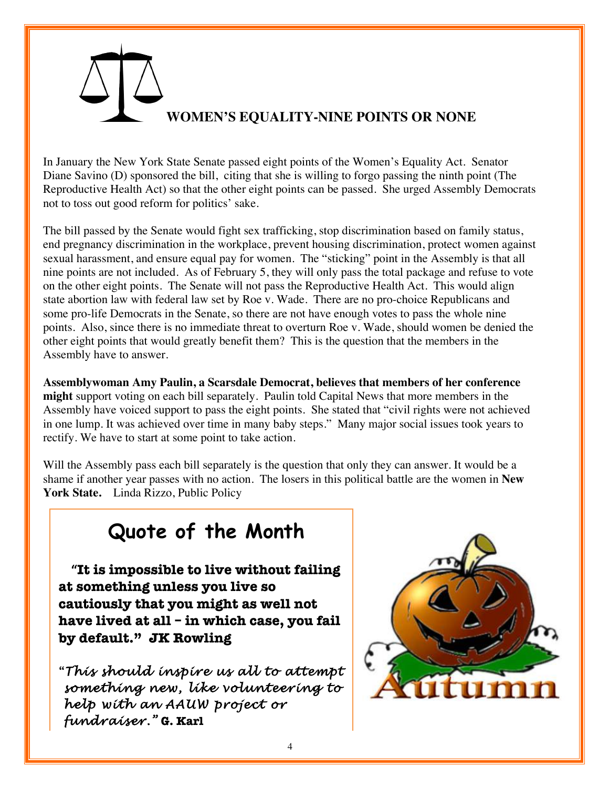# **WOMEN'S EQUALITY-NINE POINTS OR NONE**

In January the New York State Senate passed eight points of the Women's Equality Act. Senator Diane Savino (D) sponsored the bill, citing that she is willing to forgo passing the ninth point (The Reproductive Health Act) so that the other eight points can be passed. She urged Assembly Democrats not to toss out good reform for politics' sake.

The bill passed by the Senate would fight sex trafficking, stop discrimination based on family status, end pregnancy discrimination in the workplace, prevent housing discrimination, protect women against sexual harassment, and ensure equal pay for women. The "sticking" point in the Assembly is that all nine points are not included. As of February 5, they will only pass the total package and refuse to vote on the other eight points. The Senate will not pass the Reproductive Health Act. This would align state abortion law with federal law set by Roe v. Wade. There are no pro-choice Republicans and some pro-life Democrats in the Senate, so there are not have enough votes to pass the whole nine points. Also, since there is no immediate threat to overturn Roe v. Wade, should women be denied the other eight points that would greatly benefit them? This is the question that the members in the Assembly have to answer.

**Assemblywoman Amy Paulin, a Scarsdale Democrat, believes that members of her conference might** support voting on each bill separately. Paulin told Capital News that more members in the Assembly have voiced support to pass the eight points. She stated that "civil rights were not achieved in one lump. It was achieved over time in many baby steps." Many major social issues took years to rectify. We have to start at some point to take action.

Will the Assembly pass each bill separately is the question that only they can answer. It would be a shame if another year passes with no action. The losers in this political battle are the women in **New**  York State. Linda Rizzo, Public Policy

# **!!!!!!!!!!!! Quote of the Month**

**!!!!"It is impossible to live without failing at something unless you live so cautiously that you might as well not have lived at all – in which case, you fail by default." JK Rowling** 

**"***This should inspire us all to attempt something new, like volunteering to help with an AAUW project or fundraiser."* **G. Karl**

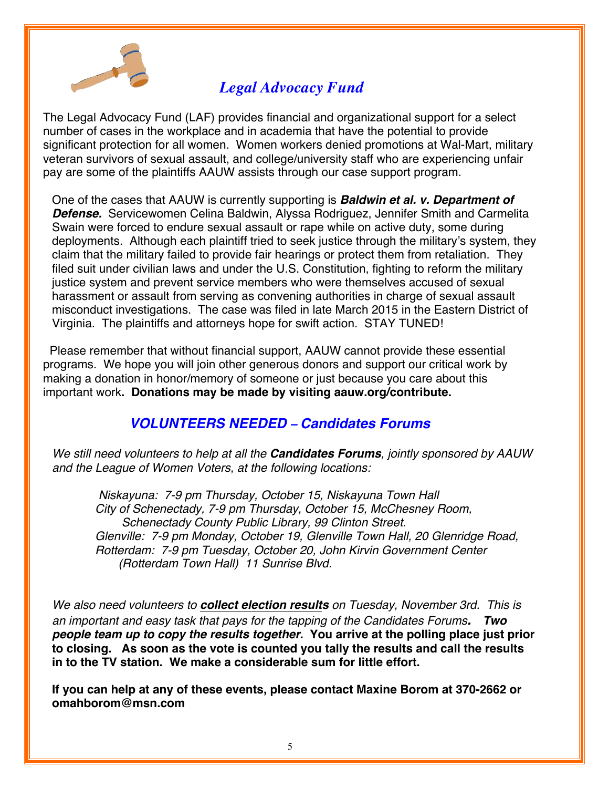

# *Legal Advocacy Fund*

The Legal Advocacy Fund (LAF) provides financial and organizational support for a select number of cases in the workplace and in academia that have the potential to provide significant protection for all women. Women workers denied promotions at Wal-Mart, military veteran survivors of sexual assault, and college/university staff who are experiencing unfair pay are some of the plaintiffs AAUW assists through our case support program.

One of the cases that AAUW is currently supporting is *Baldwin et al. v. Department of Defense.* Servicewomen Celina Baldwin, Alyssa Rodriguez, Jennifer Smith and Carmelita Swain were forced to endure sexual assault or rape while on active duty, some during deployments. Although each plaintiff tried to seek justice through the military's system, they claim that the military failed to provide fair hearings or protect them from retaliation. They filed suit under civilian laws and under the U.S. Constitution, fighting to reform the military justice system and prevent service members who were themselves accused of sexual harassment or assault from serving as convening authorities in charge of sexual assault misconduct investigations. The case was filed in late March 2015 in the Eastern District of Virginia. The plaintiffs and attorneys hope for swift action. STAY TUNED!

 Please remember that without financial support, AAUW cannot provide these essential programs. We hope you will join other generous donors and support our critical work by making a donation in honor/memory of someone or just because you care about this important work**. Donations may be made by visiting aauw.org/contribute.** 

## *VOLUNTEERS NEEDED – Candidates Forums*

*We still need volunteers to help at all the Candidates Forums, jointly sponsored by AAUW and the League of Women Voters, at the following locations:* 

 *Niskayuna: 7-9 pm Thursday, October 15, Niskayuna Town Hall City of Schenectady, 7-9 pm Thursday, October 15, McChesney Room, Schenectady County Public Library, 99 Clinton Street. Glenville: 7-9 pm Monday, October 19, Glenville Town Hall, 20 Glenridge Road, Rotterdam: 7-9 pm Tuesday, October 20, John Kirvin Government Center (Rotterdam Town Hall) 11 Sunrise Blvd.* 

*We also need volunteers to collect election results on Tuesday, November 3rd. This is an important and easy task that pays for the tapping of the Candidates Forums. Two people team up to copy the results together.* **You arrive at the polling place just prior to closing. As soon as the vote is counted you tally the results and call the results in to the TV station. We make a considerable sum for little effort.** 

**If you can help at any of these events, please contact Maxine Borom at 370-2662 or omahborom@msn.com**